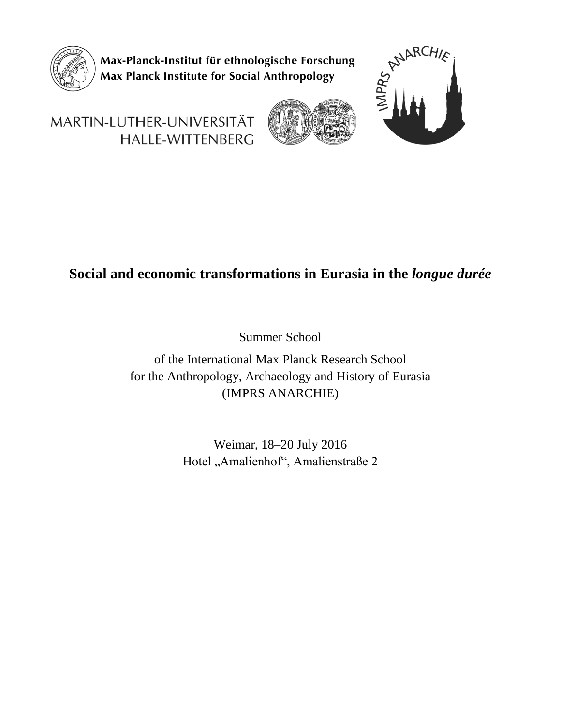

Max-Planck-Institut für ethnologische Forschung Max Planck Institute for Social Anthropology



# MARTIN-LUTHER-UNIVERSITÄT HALLE-WITTENBERG

# **Social and economic transformations in Eurasia in the** *longue durée*

Summer School

of the International Max Planck Research School for the Anthropology, Archaeology and History of Eurasia (IMPRS ANARCHIE)

> Weimar, 18–20 July 2016 Hotel "Amalienhof", Amalienstraße 2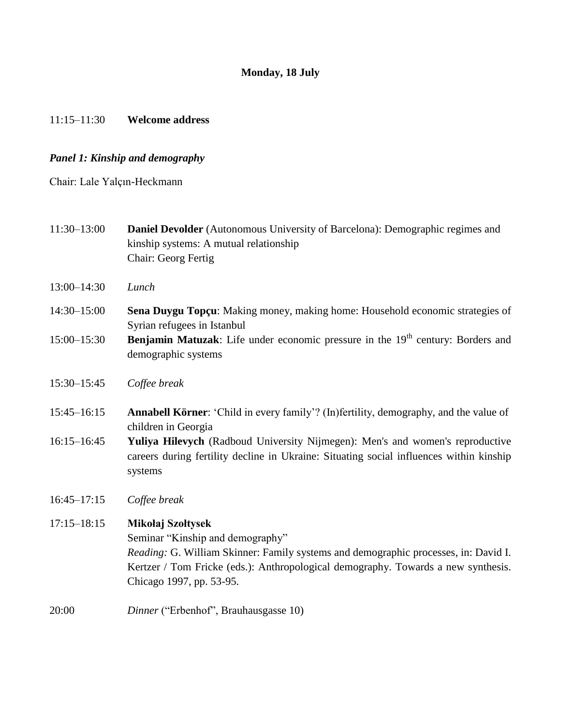# **Monday, 18 July**

### 11:15–11:30 **Welcome address**

### *Panel 1: Kinship and demography*

Chair: Lale Yalçın-Heckmann

- 11:30–13:00 **Daniel Devolder** (Autonomous University of Barcelona): Demographic regimes and kinship systems: A mutual relationship Chair: Georg Fertig
- 13:00–14:30 *Lunch*
- 14:30–15:00 **Sena Duygu Topçu**: Making money, making home: Household economic strategies of Syrian refugees in Istanbul
- 15:00–15:30 **Benjamin Matuzak**: Life under economic pressure in the 19<sup>th</sup> century: Borders and demographic systems
- 15:30–15:45 *Coffee break*
- 15:45–16:15 **Annabell Körner**: "Child in every family"? (In)fertility, demography, and the value of children in Georgia
- 16:15–16:45 **Yuliya Hilevych** (Radboud University Nijmegen): Men's and women's reproductive careers during fertility decline in Ukraine: Situating social influences within kinship systems
- 16:45–17:15 *Coffee break*

# 17:15–18:15 **Mikołaj Szołtysek**

Seminar "Kinship and demography"

*Reading:* G. William Skinner: Family systems and demographic processes, in: David I. Kertzer / Tom Fricke (eds.): Anthropological demography. Towards a new synthesis. Chicago 1997, pp. 53-95.

20:00 *Dinner* ("Erbenhof", Brauhausgasse 10)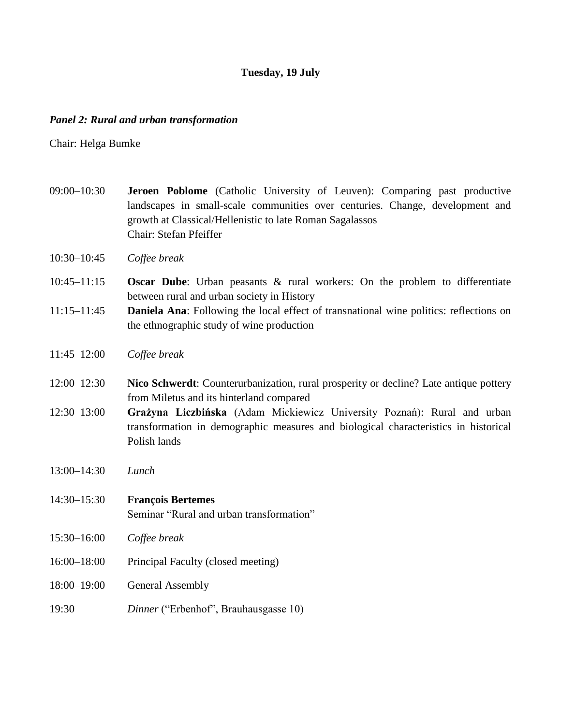# **Tuesday, 19 July**

### *Panel 2: Rural and urban transformation*

Chair: Helga Bumke

- 09:00–10:30 **Jeroen Poblome** (Catholic University of Leuven): Comparing past productive landscapes in small-scale communities over centuries. Change, development and growth at Classical/Hellenistic to late Roman Sagalassos Chair: Stefan Pfeiffer
- 10:30–10:45 *Coffee break*
- 10:45–11:15 **Oscar Dube**: Urban peasants & rural workers: On the problem to differentiate between rural and urban society in History
- 11:15–11:45 **Daniela Ana**: Following the local effect of transnational wine politics: reflections on the ethnographic study of wine production
- 11:45–12:00 *Coffee break*
- 12:00–12:30 **Nico Schwerdt**: Counterurbanization, rural prosperity or decline? Late antique pottery from Miletus and its hinterland compared
- 12:30–13:00 **Grażyna Liczbińska** (Adam Mickiewicz University Poznań): Rural and urban transformation in demographic measures and biological characteristics in historical Polish lands
- 13:00–14:30 *Lunch*
- 14:30–15:30 **François Bertemes** Seminar "Rural and urban transformation"
- 15:30–16:00 *Coffee break*
- 16:00–18:00 Principal Faculty (closed meeting)
- 18:00–19:00 General Assembly
- 19:30 *Dinner* ("Erbenhof", Brauhausgasse 10)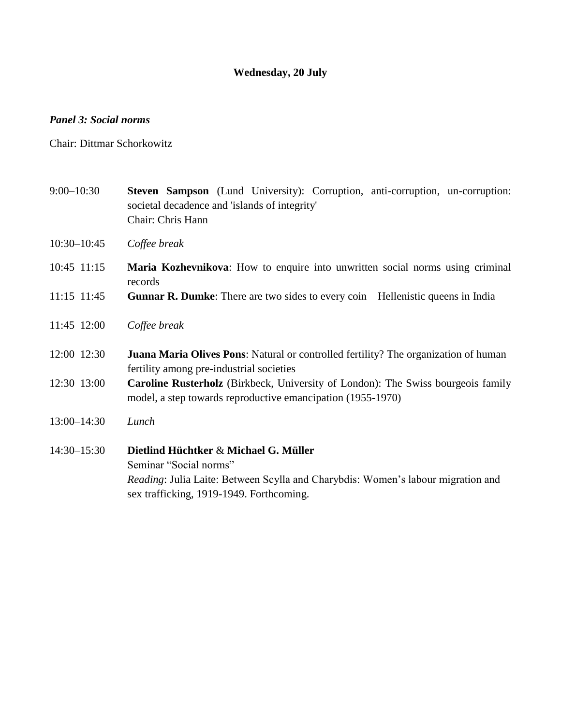# **Wednesday, 20 July**

### *Panel 3: Social norms*

Chair: Dittmar Schorkowitz

- 9:00–10:30 **Steven Sampson** (Lund University): Corruption, anti-corruption, un-corruption: societal decadence and 'islands of integrity' Chair: Chris Hann
- 10:30–10:45 *Coffee break*
- 10:45–11:15 **Maria Kozhevnikova**: How to enquire into unwritten social norms using criminal records
- 11:15–11:45 **Gunnar R. Dumke**: There are two sides to every coin Hellenistic queens in India
- 11:45–12:00 *Coffee break*
- 12:00–12:30 **Juana Maria Olives Pons**: Natural or controlled fertility? The organization of human fertility among pre-industrial societies
- 12:30–13:00 **Caroline Rusterholz** (Birkbeck, University of London): The Swiss bourgeois family model, a step towards reproductive emancipation (1955-1970)
- 13:00–14:30 *Lunch*
- 14:30–15:30 **Dietlind Hüchtker** & **Michael G. Müller** Seminar "Social norms" *Reading*: Julia Laite: Between Scylla and Charybdis: Women"s labour migration and sex trafficking, 1919-1949. Forthcoming.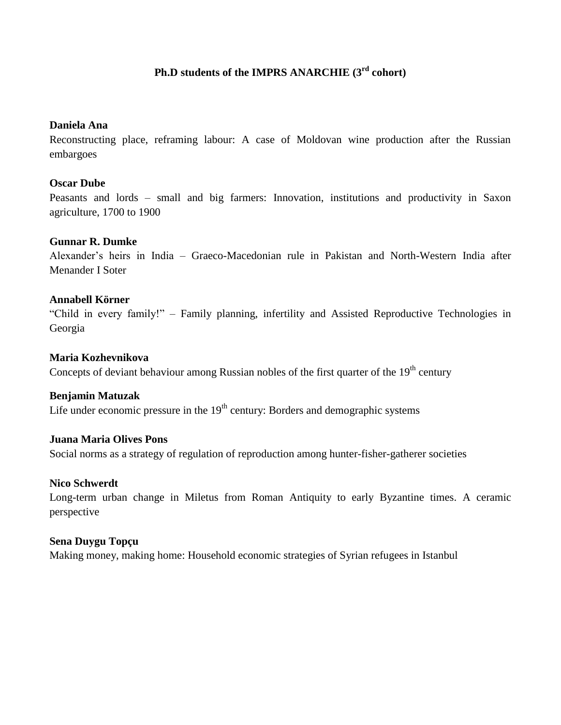# **Ph.D students of the IMPRS ANARCHIE (3 rd cohort)**

### **Daniela Ana**

Reconstructing place, reframing labour: A case of Moldovan wine production after the Russian embargoes

# **Oscar Dube**

Peasants and lords – small and big farmers: Innovation, institutions and productivity in Saxon agriculture, 1700 to 1900

# **Gunnar R. Dumke**

Alexander"s heirs in India – Graeco-Macedonian rule in Pakistan and North-Western India after Menander I Soter

# **Annabell Körner**

"Child in every family!" – Family planning, infertility and Assisted Reproductive Technologies in Georgia

# **Maria Kozhevnikova**

Concepts of deviant behaviour among Russian nobles of the first quarter of the 19<sup>th</sup> century

### **Benjamin Matuzak**

Life under economic pressure in the  $19<sup>th</sup>$  century: Borders and demographic systems

### **Juana Maria Olives Pons**

Social norms as a strategy of regulation of reproduction among hunter-fisher-gatherer societies

### **Nico Schwerdt**

Long-term urban change in Miletus from Roman Antiquity to early Byzantine times. A ceramic perspective

### **Sena Duygu Topçu**

Making money, making home: Household economic strategies of Syrian refugees in Istanbul